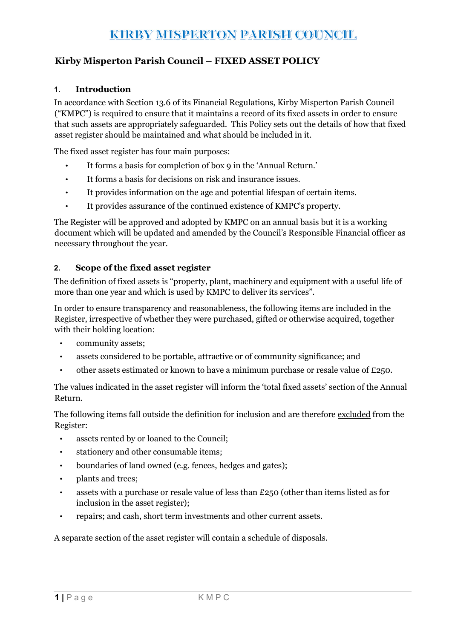## **KIRBY MISPERTON PARISH COUNCIL**

### Kirby Misperton Parish Council – FIXED ASSET POLICY

### 1. Introduction

In accordance with Section 13.6 of its Financial Regulations, Kirby Misperton Parish Council ("KMPC") is required to ensure that it maintains a record of its fixed assets in order to ensure that such assets are appropriately safeguarded. This Policy sets out the details of how that fixed asset register should be maintained and what should be included in it.

The fixed asset register has four main purposes:

- It forms a basis for completion of box 9 in the 'Annual Return.'
- It forms a basis for decisions on risk and insurance issues.
- It provides information on the age and potential lifespan of certain items.
- It provides assurance of the continued existence of KMPC's property.

The Register will be approved and adopted by KMPC on an annual basis but it is a working document which will be updated and amended by the Council's Responsible Financial officer as necessary throughout the year.

### 2. Scope of the fixed asset register

The definition of fixed assets is "property, plant, machinery and equipment with a useful life of more than one year and which is used by KMPC to deliver its services".

In order to ensure transparency and reasonableness, the following items are included in the Register, irrespective of whether they were purchased, gifted or otherwise acquired, together with their holding location:

- community assets;
- assets considered to be portable, attractive or of community significance; and
- other assets estimated or known to have a minimum purchase or resale value of  $E250$ .

The values indicated in the asset register will inform the 'total fixed assets' section of the Annual Return.

The following items fall outside the definition for inclusion and are therefore excluded from the Register:

- assets rented by or loaned to the Council;
- stationery and other consumable items;
- boundaries of land owned (e.g. fences, hedges and gates);
- plants and trees;
- assets with a purchase or resale value of less than £250 (other than items listed as for inclusion in the asset register);
- repairs; and cash, short term investments and other current assets.

A separate section of the asset register will contain a schedule of disposals.